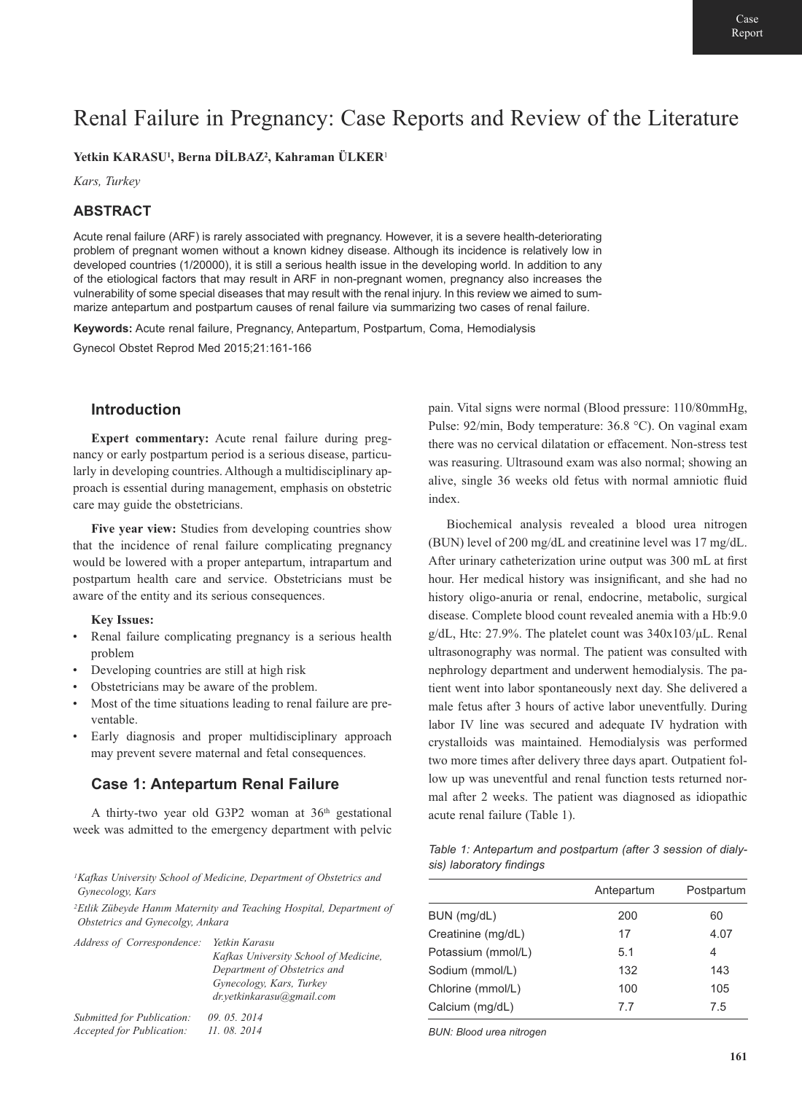# Renal Failure in Pregnancy: Case Reports and Review of the Literature

## **Yetkin KARASU1, Berna DİLBAZ2, Kahraman ÜLKER**<sup>1</sup>

*Kars, Turkey*

## **ABSTRACT**

Acute renal failure (ARF) is rarely associated with pregnancy. However, it is a severe health-deteriorating problem of pregnant women without a known kidney disease. Although its incidence is relatively low in developed countries (1/20000), it is still a serious health issue in the developing world. In addition to any of the etiological factors that may result in ARF in non-pregnant women, pregnancy also increases the vulnerability of some special diseases that may result with the renal injury. In this review we aimed to summarize antepartum and postpartum causes of renal failure via summarizing two cases of renal failure.

**Keywords:** Acute renal failure, Pregnancy, Antepartum, Postpartum, Coma, Hemodialysis Gynecol Obstet Reprod Med 2015;21:161-166

## **Introduction**

**Expert commentary:** Acute renal failure during pregnancy or early postpartum period is a serious disease, particularly in developing countries. Although a multidisciplinary approach is essential during management, emphasis on obstetric care may guide the obstetricians.

**Five year view:** Studies from developing countries show that the incidence of renal failure complicating pregnancy would be lowered with a proper antepartum, intrapartum and postpartum health care and service. Obstetricians must be aware of the entity and its serious consequences.

#### **Key Issues:**

- Renal failure complicating pregnancy is a serious health problem
- Developing countries are still at high risk
- Obstetricians may be aware of the problem.
- Most of the time situations leading to renal failure are preventable.
- Early diagnosis and proper multidisciplinary approach may prevent severe maternal and fetal consequences.

## **Case 1: Antepartum Renal Failure**

A thirty-two year old G3P2 woman at 36<sup>th</sup> gestational week was admitted to the emergency department with pelvic

*1Kafkas University School of Medicine, Department of Obstetrics and Gynecology, Kars* 

*2Etlik Zübeyde Hanım Maternity and Teaching Hospital, Department of Obstetrics and Gynecolgy, Ankara* 

| Address of Correspondence:       | Yetkin Karasu<br>Kafkas University School of Medicine,<br>Department of Obstetrics and<br>Gynecology, Kars, Turkey<br>dr.yetkinkarasu@gmail.com |
|----------------------------------|-------------------------------------------------------------------------------------------------------------------------------------------------|
| Submitted for Publication:       | 09.05.2014                                                                                                                                      |
| <b>Accepted for Publication:</b> | 11.08.2014                                                                                                                                      |

pain. Vital signs were normal (Blood pressure: 110/80mmHg, Pulse: 92/min, Body temperature: 36.8 °C). On vaginal exam there was no cervical dilatation or effacement. Non-stress test was reasuring. Ultrasound exam was also normal; showing an alive, single 36 weeks old fetus with normal amniotic fluid index.

Biochemical analysis revealed a blood urea nitrogen (BUN) level of 200 mg/dL and creatinine level was 17 mg/dL. After urinary catheterization urine output was 300 mL at first hour. Her medical history was insignificant, and she had no history oligo-anuria or renal, endocrine, metabolic, surgical disease. Complete blood count revealed anemia with a Hb:9.0 g/dL, Htc: 27.9%. The platelet count was  $340x103/\mu L$ . Renal ultrasonography was normal. The patient was consulted with nephrology department and underwent hemodialysis. The patient went into labor spontaneously next day. She delivered a male fetus after 3 hours of active labor uneventfully. During labor IV line was secured and adequate IV hydration with crystalloids was maintained. Hemodialysis was performed two more times after delivery three days apart. Outpatient follow up was uneventful and renal function tests returned normal after 2 weeks. The patient was diagnosed as idiopathic acute renal failure (Table 1).

*Table 1: Antepartum and postpartum (after 3 session of dialysis) laboratory findings*

|                    | Antepartum | Postpartum |
|--------------------|------------|------------|
| BUN (mg/dL)        | 200        | 60         |
| Creatinine (mg/dL) | 17         | 4.07       |
| Potassium (mmol/L) | 5.1        | 4          |
| Sodium (mmol/L)    | 132        | 143        |
| Chlorine (mmol/L)  | 100        | 105        |
| Calcium (mg/dL)    | 77         | 7.5        |

*BUN: Blood urea nitrogen*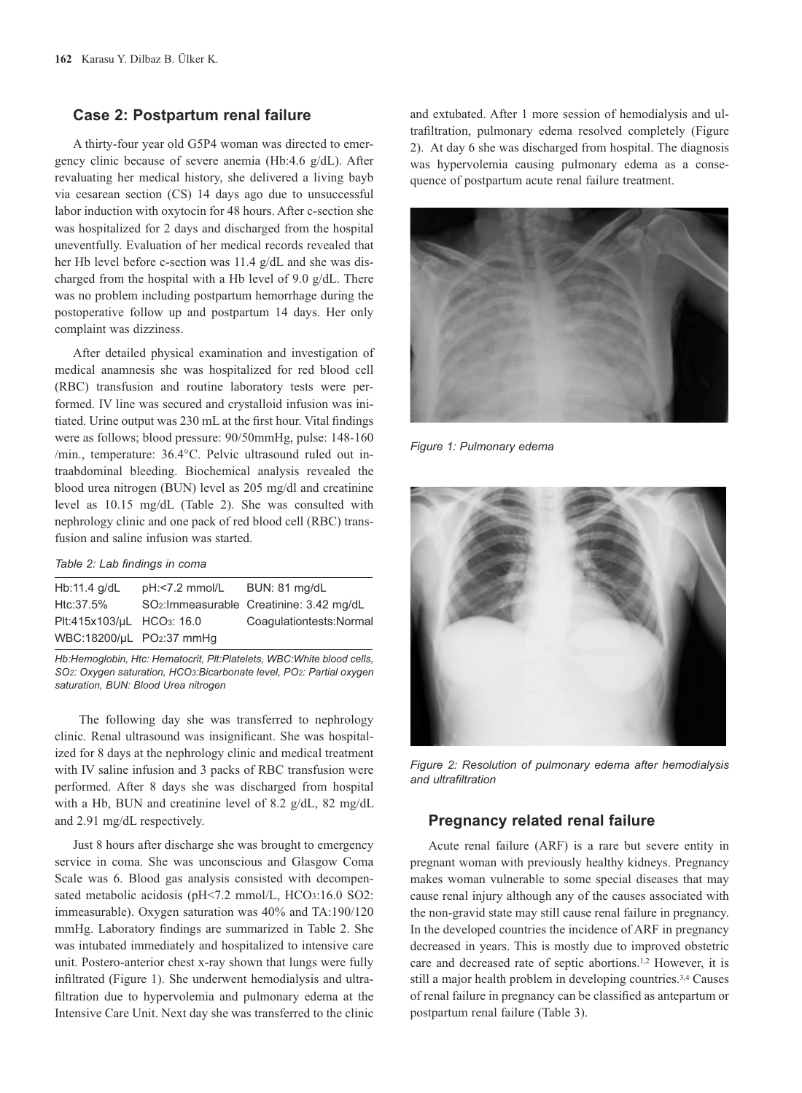### **Case 2: Postpartum renal failure**

A thirty-four year old G5P4 woman was directed to emergency clinic because of severe anemia (Hb:4.6 g/dL). After revaluating her medical history, she delivered a living bayb via cesarean section (CS) 14 days ago due to unsuccessful labor induction with oxytocin for 48 hours. After c-section she was hospitalized for 2 days and discharged from the hospital uneventfully. Evaluation of her medical records revealed that her Hb level before c-section was 11.4 g/dL and she was discharged from the hospital with a Hb level of 9.0 g/dL. There was no problem including postpartum hemorrhage during the postoperative follow up and postpartum 14 days. Her only complaint was dizziness.

After detailed physical examination and investigation of medical anamnesis she was hospitalized for red blood cell (RBC) transfusion and routine laboratory tests were performed. IV line was secured and crystalloid infusion was initiated. Urine output was 230 mL at the first hour. Vital findings were as follows; blood pressure: 90/50mmHg, pulse: 148-160 /min., temperature: 36.4°C. Pelvic ultrasound ruled out intraabdominal bleeding. Biochemical analysis revealed the blood urea nitrogen (BUN) level as 205 mg/dl and creatinine level as 10.15 mg/dL (Table 2). She was consulted with nephrology clinic and one pack of red blood cell (RBC) transfusion and saline infusion was started.

#### *Table 2: Lab findings in coma*

| Hb:11.4 $q/dL$            | pH:<7.2 mmol/L BUN: 81 mg/dL |                                                       |
|---------------------------|------------------------------|-------------------------------------------------------|
| Htc:37.5%                 |                              | SO <sub>2</sub> : Immeasurable Creatinine: 3.42 mg/dL |
| Plt:415x103/µL HCO3: 16.0 |                              | Coaqulationtests: Normal                              |
| WBC:18200/µL PO2:37 mmHg  |                              |                                                       |
|                           |                              |                                                       |

*Hb:Hemoglobin, Htc: Hematocrit, Plt:Platelets, WBC:White blood cells, SO2: Oxygen saturation, HCO3:Bicarbonate level, PO2: Partial oxygen saturation, BUN: Blood Urea nitrogen* 

The following day she was transferred to nephrology clinic. Renal ultrasound was insignificant. She was hospitalized for 8 days at the nephrology clinic and medical treatment with IV saline infusion and 3 packs of RBC transfusion were performed. After 8 days she was discharged from hospital with a Hb, BUN and creatinine level of 8.2 g/dL, 82 mg/dL and 2.91 mg/dL respectively.

Just 8 hours after discharge she was brought to emergency service in coma. She was unconscious and Glasgow Coma Scale was 6. Blood gas analysis consisted with decompensated metabolic acidosis (pH<7.2 mmol/L, HCO3:16.0 SO2: immeasurable). Oxygen saturation was 40% and TA:190/120 mmHg. Laboratory findings are summarized in Table 2. She was intubated immediately and hospitalized to intensive care unit. Postero-anterior chest x-ray shown that lungs were fully infiltrated (Figure 1). She underwent hemodialysis and ultrafiltration due to hypervolemia and pulmonary edema at the Intensive Care Unit. Next day she was transferred to the clinic and extubated. After 1 more session of hemodialysis and ultrafiltration, pulmonary edema resolved completely (Figure 2). At day 6 she was discharged from hospital. The diagnosis was hypervolemia causing pulmonary edema as a consequence of postpartum acute renal failure treatment.



*Figure 1: Pulmonary edema*



*Figure 2: Resolution of pulmonary edema after hemodialysis and ultrafiltration*

#### **Pregnancy related renal failure**

Acute renal failure (ARF) is a rare but severe entity in pregnant woman with previously healthy kidneys. Pregnancy makes woman vulnerable to some special diseases that may cause renal injury although any of the causes associated with the non-gravid state may still cause renal failure in pregnancy. In the developed countries the incidence of ARF in pregnancy decreased in years. This is mostly due to improved obstetric care and decreased rate of septic abortions.1,2 However, it is still a major health problem in developing countries.3,4 Causes of renal failure in pregnancy can be classified as antepartum or postpartum renal failure (Table 3).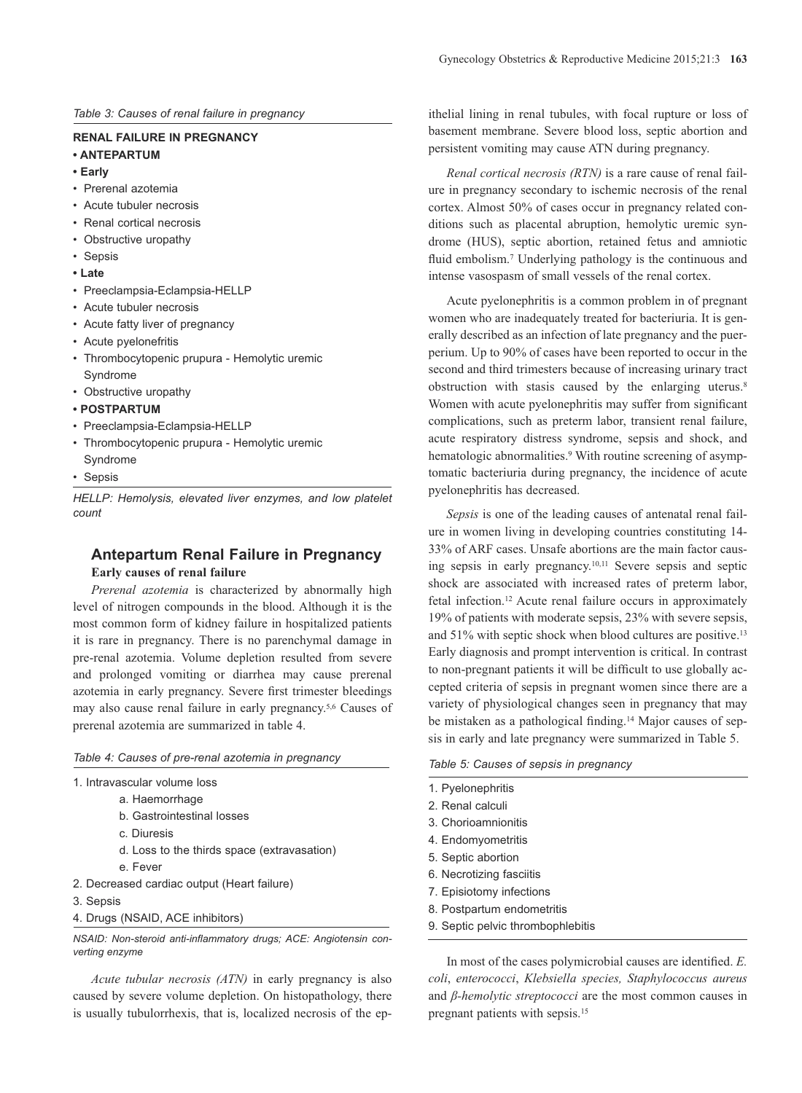*Table 3: Causes of renal failure in pregnancy*

#### **RENAL FAILURE IN PREGNANCY**

- **ANTEPARTUM**
- **Early**
- Prerenal azotemia
- Acute tubuler necrosis
- Renal cortical necrosis
- Obstructive uropathy
- Sepsis
- **Late**
- Preeclampsia-Eclampsia-HELLP
- Acute tubuler necrosis
- Acute fatty liver of pregnancy
- Acute pyelonefritis
- Thrombocytopenic prupura Hemolytic uremic Syndrome
- Obstructive uropathy
- **POSTPARTUM**
- Preeclampsia-Eclampsia-HELLP
- Thrombocytopenic prupura Hemolytic uremic Syndrome
- Sepsis

*HELLP: Hemolysis, elevated liver enzymes, and low platelet count*

# **Antepartum Renal Failure in Pregnancy**

**Early causes of renal failure**

*Prerenal azotemia* is characterized by abnormally high level of nitrogen compounds in the blood. Although it is the most common form of kidney failure in hospitalized patients it is rare in pregnancy. There is no parenchymal damage in pre-renal azotemia. Volume depletion resulted from severe and prolonged vomiting or diarrhea may cause prerenal azotemia in early pregnancy. Severe first trimester bleedings may also cause renal failure in early pregnancy.5,6 Causes of prerenal azotemia are summarized in table 4.

*Table 4: Causes of pre-renal azotemia in pregnancy*

- 1. Intravascular volume loss
	- a. Haemorrhage
	- b. Gastrointestinal losses
	- c. Diuresis
	- d. Loss to the thirds space (extravasation)
- e. Fever
- 2. Decreased cardiac output (Heart failure)
- 3. Sepsis
- 4. Drugs (NSAID, ACE inhibitors)

*NSAID: Non-steroid anti-inflammatory drugs; ACE: Angiotensin converting enzyme* 

*Acute tubular necrosis (ATN)* in early pregnancy is also caused by severe volume depletion. On histopathology, there is usually tubulorrhexis, that is, localized necrosis of the epithelial lining in renal tubules, with focal rupture or loss of basement membrane. Severe blood loss, septic abortion and persistent vomiting may cause ATN during pregnancy.

*Renal cortical necrosis (RTN)* is a rare cause of renal failure in pregnancy secondary to ischemic necrosis of the renal cortex. Almost 50% of cases occur in pregnancy related conditions such as placental abruption, hemolytic uremic syndrome (HUS), septic abortion, retained fetus and amniotic fluid embolism.<sup>7</sup> Underlying pathology is the continuous and intense vasospasm of small vessels of the renal cortex.

Acute pyelonephritis is a common problem in of pregnant women who are inadequately treated for bacteriuria. It is generally described as an infection of late pregnancy and the puerperium. Up to 90% of cases have been reported to occur in the second and third trimesters because of increasing urinary tract obstruction with stasis caused by the enlarging uterus.<sup>8</sup> Women with acute pyelonephritis may suffer from significant complications, such as preterm labor, transient renal failure, acute respiratory distress syndrome, sepsis and shock, and hematologic abnormalities.<sup>9</sup> With routine screening of asymptomatic bacteriuria during pregnancy, the incidence of acute pyelonephritis has decreased.

*Sepsis* is one of the leading causes of antenatal renal failure in women living in developing countries constituting 14- 33% of ARF cases. Unsafe abortions are the main factor causing sepsis in early pregnancy.10,11 Severe sepsis and septic shock are associated with increased rates of preterm labor, fetal infection.12 Acute renal failure occurs in approximately 19% of patients with moderate sepsis, 23% with severe sepsis, and 51% with septic shock when blood cultures are positive.13 Early diagnosis and prompt intervention is critical. In contrast to non-pregnant patients it will be difficult to use globally accepted criteria of sepsis in pregnant women since there are a variety of physiological changes seen in pregnancy that may be mistaken as a pathological finding.<sup>14</sup> Major causes of sepsis in early and late pregnancy were summarized in Table 5.

#### *Table 5: Causes of sepsis in pregnancy*

- 1. Pyelonephritis
- 2. Renal calculi
- 3. Chorioamnionitis
- 4. Endomyometritis
- 5. Septic abortion
- 6. Necrotizing fasciitis
- 7. Episiotomy infections
- 8. Postpartum endometritis
- 9. Septic pelvic thrombophlebitis

In most of the cases polymicrobial causes are identified. *E. coli*, *enterococci*, *Klebsiella species, Staphylococcus aureus* and *β-hemolytic streptococci* are the most common causes in pregnant patients with sepsis.15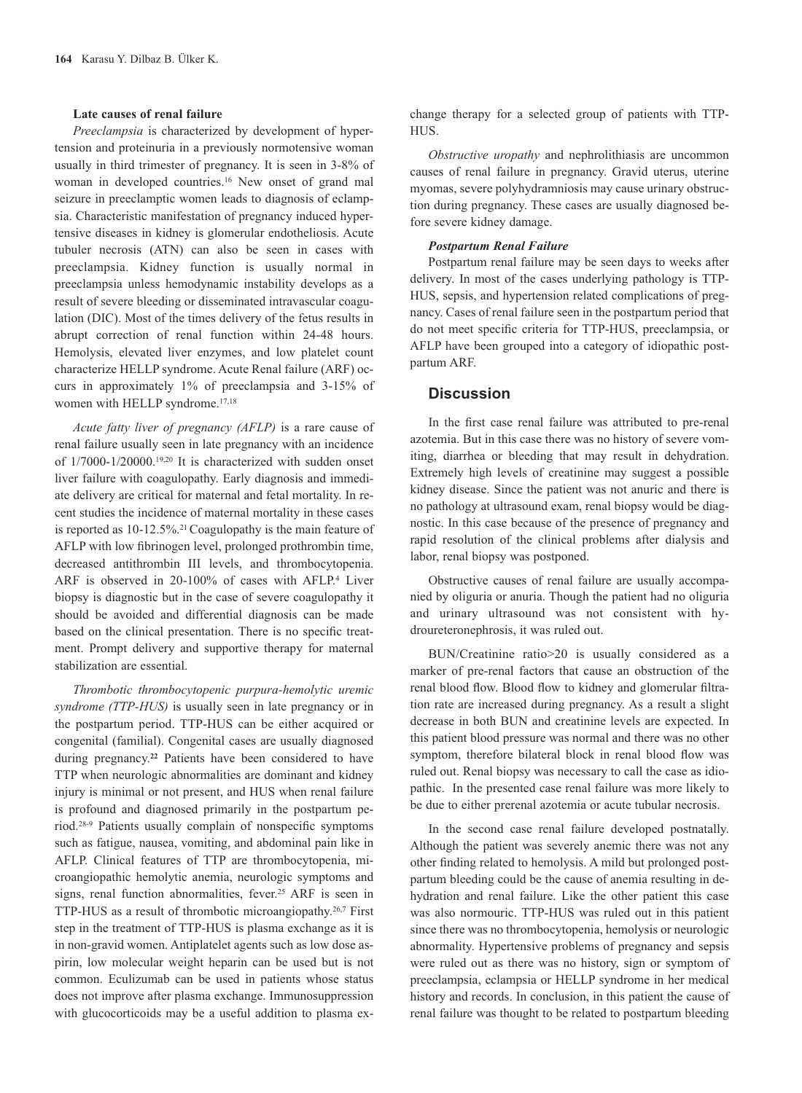#### **Late causes of renal failure**

*Preeclampsia* is characterized by development of hypertension and proteinuria in a previously normotensive woman usually in third trimester of pregnancy. It is seen in 3-8% of woman in developed countries.16 New onset of grand mal seizure in preeclamptic women leads to diagnosis of eclampsia. Characteristic manifestation of pregnancy induced hypertensive diseases in kidney is glomerular endotheliosis. Acute tubuler necrosis (ATN) can also be seen in cases with preeclampsia. Kidney function is usually normal in preeclampsia unless hemodynamic instability develops as a result of severe bleeding or disseminated intravascular coagulation (DIC). Most of the times delivery of the fetus results in abrupt correction of renal function within 24-48 hours. Hemolysis, elevated liver enzymes, and low platelet count characterize HELLP syndrome. Acute Renal failure (ARF) occurs in approximately 1% of preeclampsia and 3-15% of women with HELLP syndrome.<sup>17,18</sup>

*Acute fatty liver of pregnancy (AFLP)* is a rare cause of renal failure usually seen in late pregnancy with an incidence of 1/7000-1/20000.19,20 It is characterized with sudden onset liver failure with coagulopathy. Early diagnosis and immediate delivery are critical for maternal and fetal mortality. In recent studies the incidence of maternal mortality in these cases is reported as 10-12.5%.<sup>21</sup> Coagulopathy is the main feature of AFLP with low fibrinogen level, prolonged prothrombin time, decreased antithrombin III levels, and thrombocytopenia. ARF is observed in 20-100% of cases with AFLP.<sup>4</sup> Liver biopsy is diagnostic but in the case of severe coagulopathy it should be avoided and differential diagnosis can be made based on the clinical presentation. There is no specific treatment. Prompt delivery and supportive therapy for maternal stabilization are essential.

*Thrombotic thrombocytopenic purpura-hemolytic uremic syndrome (TTP-HUS)* is usually seen in late pregnancy or in the postpartum period. TTP-HUS can be either acquired or congenital (familial). Congenital cases are usually diagnosed during pregnancy.**<sup>22</sup>** Patients have been considered to have TTP when neurologic abnormalities are dominant and kidney injury is minimal or not present, and HUS when renal failure is profound and diagnosed primarily in the postpartum period.28-9 Patients usually complain of nonspecific symptoms such as fatigue, nausea, vomiting, and abdominal pain like in AFLP. Clinical features of TTP are thrombocytopenia, microangiopathic hemolytic anemia, neurologic symptoms and signs, renal function abnormalities, fever.25 ARF is seen in TTP-HUS as a result of thrombotic microangiopathy.26,7 First step in the treatment of TTP-HUS is plasma exchange as it is in non-gravid women. Antiplatelet agents such as low dose aspirin, low molecular weight heparin can be used but is not common. Eculizumab can be used in patients whose status does not improve after plasma exchange. Immunosuppression with glucocorticoids may be a useful addition to plasma exchange therapy for a selected group of patients with TTP-HUS.

*Obstructive uropathy* and nephrolithiasis are uncommon causes of renal failure in pregnancy. Gravid uterus, uterine myomas, severe polyhydramniosis may cause urinary obstruction during pregnancy. These cases are usually diagnosed before severe kidney damage.

#### *Postpartum Renal Failure*

Postpartum renal failure may be seen days to weeks after delivery. In most of the cases underlying pathology is TTP-HUS, sepsis, and hypertension related complications of pregnancy. Cases of renal failure seen in the postpartum period that do not meet specific criteria for TTP-HUS, preeclampsia, or AFLP have been grouped into a category of idiopathic postpartum ARF.

## **Discussion**

In the first case renal failure was attributed to pre-renal azotemia. But in this case there was no history of severe vomiting, diarrhea or bleeding that may result in dehydration. Extremely high levels of creatinine may suggest a possible kidney disease. Since the patient was not anuric and there is no pathology at ultrasound exam, renal biopsy would be diagnostic. In this case because of the presence of pregnancy and rapid resolution of the clinical problems after dialysis and labor, renal biopsy was postponed.

Obstructive causes of renal failure are usually accompanied by oliguria or anuria. Though the patient had no oliguria and urinary ultrasound was not consistent with hydroureteronephrosis, it was ruled out.

BUN/Creatinine ratio>20 is usually considered as a marker of pre-renal factors that cause an obstruction of the renal blood flow. Blood flow to kidney and glomerular filtration rate are increased during pregnancy. As a result a slight decrease in both BUN and creatinine levels are expected. In this patient blood pressure was normal and there was no other symptom, therefore bilateral block in renal blood flow was ruled out. Renal biopsy was necessary to call the case as idiopathic. In the presented case renal failure was more likely to be due to either prerenal azotemia or acute tubular necrosis.

In the second case renal failure developed postnatally. Although the patient was severely anemic there was not any other finding related to hemolysis. A mild but prolonged postpartum bleeding could be the cause of anemia resulting in dehydration and renal failure. Like the other patient this case was also normouric. TTP-HUS was ruled out in this patient since there was no thrombocytopenia, hemolysis or neurologic abnormality. Hypertensive problems of pregnancy and sepsis were ruled out as there was no history, sign or symptom of preeclampsia, eclampsia or HELLP syndrome in her medical history and records. In conclusion, in this patient the cause of renal failure was thought to be related to postpartum bleeding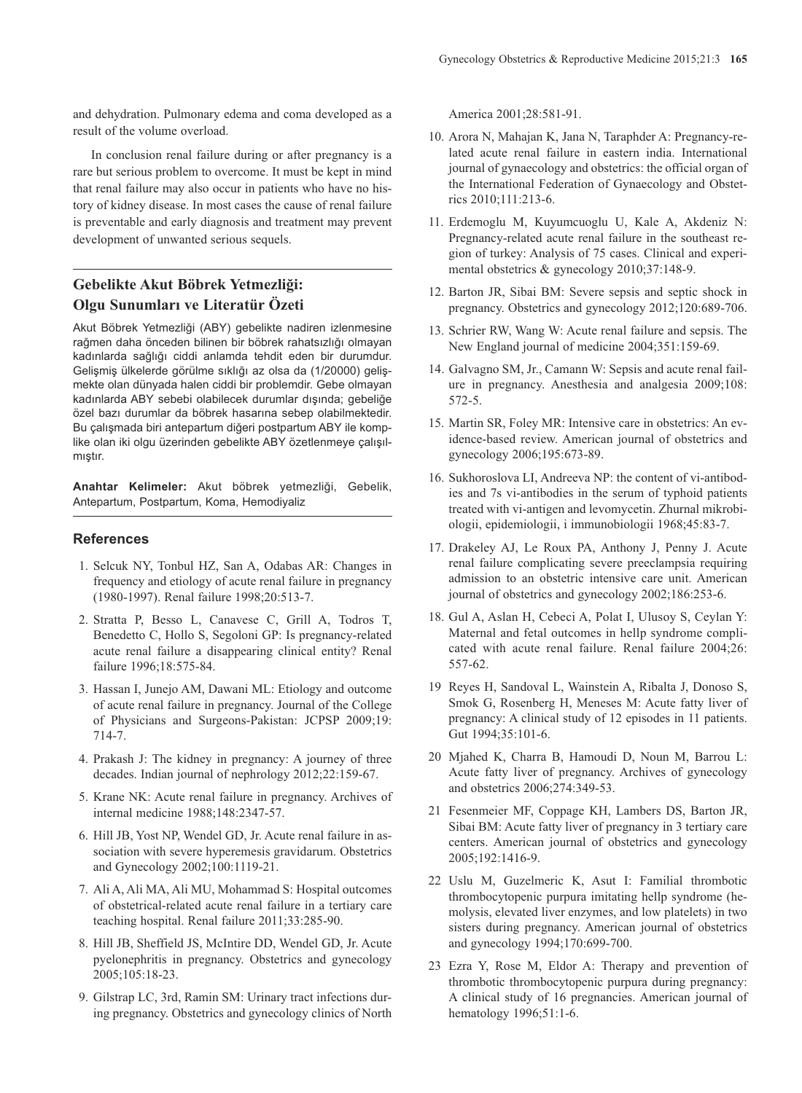and dehydration. Pulmonary edema and coma developed as a result of the volume overload.

In conclusion renal failure during or after pregnancy is a rare but serious problem to overcome. It must be kept in mind that renal failure may also occur in patients who have no history of kidney disease. In most cases the cause of renal failure is preventable and early diagnosis and treatment may prevent development of unwanted serious sequels.

## **Gebelikte Akut Böbrek Yetmezliği: Olgu Sunumları ve Literatür Özeti**

Akut Böbrek Yetmezliği (ABY) gebelikte nadiren izlenmesine rağmen daha önceden bilinen bir böbrek rahatsızlığı olmayan kadınlarda sağlığı ciddi anlamda tehdit eden bir durumdur. Gelişmiş ülkelerde görülme sıklığı az olsa da (1/20000) gelişmekte olan dünyada halen ciddi bir problemdir. Gebe olmayan kadınlarda ABY sebebi olabilecek durumlar dışında; gebeliğe özel bazı durumlar da böbrek hasarına sebep olabilmektedir. Bu çalışmada biri antepartum diğeri postpartum ABY ile komplike olan iki olgu üzerinden gebelikte ABY özetlenmeye çalışılmıştır.

**Anahtar Kelimeler:** Akut böbrek yetmezliği, Gebelik, Antepartum, Postpartum, Koma, Hemodiyaliz

### **References**

- 1. Selcuk NY, Tonbul HZ, San A, Odabas AR: Changes in frequency and etiology of acute renal failure in pregnancy (1980-1997). Renal failure 1998;20:513-7.
- 2. Stratta P, Besso L, Canavese C, Grill A, Todros T, Benedetto C, Hollo S, Segoloni GP: Is pregnancy-related acute renal failure a disappearing clinical entity? Renal failure 1996;18:575-84.
- 3. Hassan I, Junejo AM, Dawani ML: Etiology and outcome of acute renal failure in pregnancy. Journal of the College of Physicians and Surgeons-Pakistan: JCPSP 2009;19: 714-7.
- 4. Prakash J: The kidney in pregnancy: A journey of three decades. Indian journal of nephrology 2012;22:159-67.
- 5. Krane NK: Acute renal failure in pregnancy. Archives of internal medicine 1988;148:2347-57.
- 6. Hill JB, Yost NP, Wendel GD, Jr. Acute renal failure in association with severe hyperemesis gravidarum. Obstetrics and Gynecology 2002;100:1119-21.
- 7. Ali A, Ali MA, Ali MU, Mohammad S: Hospital outcomes of obstetrical-related acute renal failure in a tertiary care teaching hospital. Renal failure 2011;33:285-90.
- 8. Hill JB, Sheffield JS, McIntire DD, Wendel GD, Jr. Acute pyelonephritis in pregnancy. Obstetrics and gynecology 2005;105:18-23.
- 9. Gilstrap LC, 3rd, Ramin SM: Urinary tract infections during pregnancy. Obstetrics and gynecology clinics of North

America 2001;28:581-91.

- 10. Arora N, Mahajan K, Jana N, Taraphder A: Pregnancy-related acute renal failure in eastern india. International journal of gynaecology and obstetrics: the official organ of the International Federation of Gynaecology and Obstetrics 2010;111:213-6.
- 11. Erdemoglu M, Kuyumcuoglu U, Kale A, Akdeniz N: Pregnancy-related acute renal failure in the southeast region of turkey: Analysis of 75 cases. Clinical and experimental obstetrics & gynecology 2010;37:148-9.
- 12. Barton JR, Sibai BM: Severe sepsis and septic shock in pregnancy. Obstetrics and gynecology 2012;120:689-706.
- 13. Schrier RW, Wang W: Acute renal failure and sepsis. The New England journal of medicine 2004;351:159-69.
- 14. Galvagno SM, Jr., Camann W: Sepsis and acute renal failure in pregnancy. Anesthesia and analgesia 2009;108: 572-5.
- 15. Martin SR, Foley MR: Intensive care in obstetrics: An evidence-based review. American journal of obstetrics and gynecology 2006;195:673-89.
- 16. Sukhoroslova LI, Andreeva NP: the content of vi-antibodies and 7s vi-antibodies in the serum of typhoid patients treated with vi-antigen and levomycetin. Zhurnal mikrobiologii, epidemiologii, i immunobiologii 1968;45:83-7.
- 17. Drakeley AJ, Le Roux PA, Anthony J, Penny J. Acute renal failure complicating severe preeclampsia requiring admission to an obstetric intensive care unit. American journal of obstetrics and gynecology 2002;186:253-6.
- 18. Gul A, Aslan H, Cebeci A, Polat I, Ulusoy S, Ceylan Y: Maternal and fetal outcomes in hellp syndrome complicated with acute renal failure. Renal failure 2004;26: 557-62.
- 19 Reyes H, Sandoval L, Wainstein A, Ribalta J, Donoso S, Smok G, Rosenberg H, Meneses M: Acute fatty liver of pregnancy: A clinical study of 12 episodes in 11 patients. Gut 1994;35:101-6.
- 20 Mjahed K, Charra B, Hamoudi D, Noun M, Barrou L: Acute fatty liver of pregnancy. Archives of gynecology and obstetrics 2006;274:349-53.
- 21 Fesenmeier MF, Coppage KH, Lambers DS, Barton JR, Sibai BM: Acute fatty liver of pregnancy in 3 tertiary care centers. American journal of obstetrics and gynecology 2005;192:1416-9.
- 22 Uslu M, Guzelmeric K, Asut I: Familial thrombotic thrombocytopenic purpura imitating hellp syndrome (hemolysis, elevated liver enzymes, and low platelets) in two sisters during pregnancy. American journal of obstetrics and gynecology 1994;170:699-700.
- 23 Ezra Y, Rose M, Eldor A: Therapy and prevention of thrombotic thrombocytopenic purpura during pregnancy: A clinical study of 16 pregnancies. American journal of hematology 1996;51:1-6.